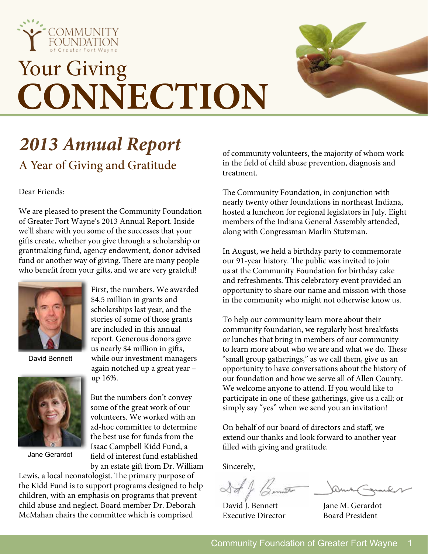

# Your Giving **CONNECTION**



# *2013 Annual Report* A Year of Giving and Gratitude

Dear Friends:

We are pleased to present the Community Foundation of Greater Fort Wayne's 2013 Annual Report. Inside we'll share with you some of the successes that your gifts create, whether you give through a scholarship or grantmaking fund, agency endowment, donor advised fund or another way of giving. There are many people who benefit from your gifts, and we are very grateful!



David Bennett



Jane Gerardot

First, the numbers. We awarded \$4.5 million in grants and scholarships last year, and the stories of some of those grants are included in this annual report. Generous donors gave us nearly \$4 million in gifts, while our investment managers again notched up a great year – up 16%.

But the numbers don't convey some of the great work of our volunteers. We worked with an ad-hoc committee to determine the best use for funds from the Isaac Campbell Kidd Fund, a field of interest fund established by an estate gift from Dr. William

Lewis, a local neonatologist. The primary purpose of the Kidd Fund is to support programs designed to help children, with an emphasis on programs that prevent child abuse and neglect. Board member Dr. Deborah McMahan chairs the committee which is comprised

of community volunteers, the majority of whom work in the field of child abuse prevention, diagnosis and treatment.

The Community Foundation, in conjunction with nearly twenty other foundations in northeast Indiana, hosted a luncheon for regional legislators in July. Eight members of the Indiana General Assembly attended, along with Congressman Marlin Stutzman.

In August, we held a birthday party to commemorate our 91-year history. The public was invited to join us at the Community Foundation for birthday cake and refreshments. This celebratory event provided an opportunity to share our name and mission with those in the community who might not otherwise know us.

To help our community learn more about their community foundation, we regularly host breakfasts or lunches that bring in members of our community to learn more about who we are and what we do. These "small group gatherings," as we call them, give us an opportunity to have conversations about the history of our foundation and how we serve all of Allen County. We welcome anyone to attend. If you would like to participate in one of these gatherings, give us a call; or simply say "yes" when we send you an invitation!

On behalf of our board of directors and staff, we extend our thanks and look forward to another year filled with giving and gratitude.

Sincerely,

St & Bennet

David I. Bennett Jane M. Gerardot Executive Director Board President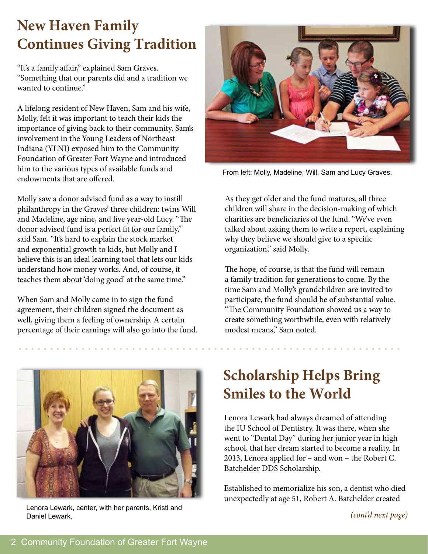### **New Haven Family Continues Giving Tradition**

"It's a family affair," explained Sam Graves. "Something that our parents did and a tradition we wanted to continue."

A lifelong resident of New Haven, Sam and his wife, Molly, felt it was important to teach their kids the importance of giving back to their community. Sam's involvement in the Young Leaders of Northeast Indiana (YLNI) exposed him to the Community Foundation of Greater Fort Wayne and introduced him to the various types of available funds and endowments that are offered.

Molly saw a donor advised fund as a way to instill philanthropy in the Graves' three children: twins Will and Madeline, age nine, and five year-old Lucy. "The donor advised fund is a perfect fit for our family," said Sam. "It's hard to explain the stock market and exponential growth to kids, but Molly and I believe this is an ideal learning tool that lets our kids understand how money works. And, of course, it teaches them about 'doing good' at the same time."

When Sam and Molly came in to sign the fund agreement, their children signed the document as well, giving them a feeling of ownership. A certain percentage of their earnings will also go into the fund.



Lenora Lewark, center, with her parents, Kristi and Daniel Lewark.



From left: Molly, Madeline, Will, Sam and Lucy Graves.

As they get older and the fund matures, all three children will share in the decision-making of which charities are beneficiaries of the fund. "We've even talked about asking them to write a report, explaining why they believe we should give to a specific organization," said Molly.

The hope, of course, is that the fund will remain a family tradition for generations to come. By the time Sam and Molly's grandchildren are invited to participate, the fund should be of substantial value. "The Community Foundation showed us a way to create something worthwhile, even with relatively modest means," Sam noted.

### **Scholarship Helps Bring Smiles to the World**

Lenora Lewark had always dreamed of attending the IU School of Dentistry. It was there, when she went to "Dental Day" during her junior year in high school, that her dream started to become a reality. In 2013, Lenora applied for – and won – the Robert C. Batchelder DDS Scholarship.

Established to memorialize his son, a dentist who died unexpectedly at age 51, Robert A. Batchelder created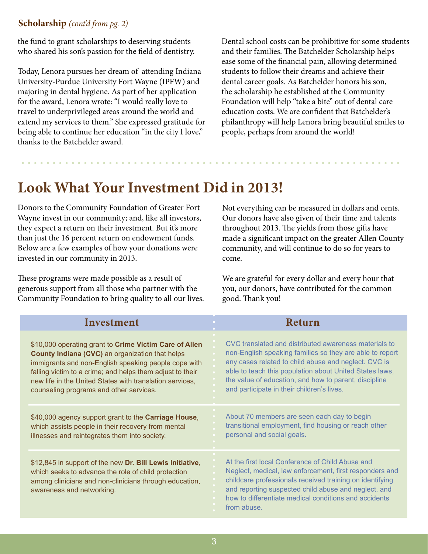### **Scholarship** *(cont'd from pg. 2)*

the fund to grant scholarships to deserving students who shared his son's passion for the field of dentistry.

Today, Lenora pursues her dream of attending Indiana University-Purdue University Fort Wayne (IPFW) and majoring in dental hygiene. As part of her application for the award, Lenora wrote: "I would really love to travel to underprivileged areas around the world and extend my services to them." She expressed gratitude for being able to continue her education "in the city I love," thanks to the Batchelder award.

Dental school costs can be prohibitive for some students and their families. The Batchelder Scholarship helps ease some of the financial pain, allowing determined students to follow their dreams and achieve their dental career goals. As Batchelder honors his son, the scholarship he established at the Community Foundation will help "take a bite" out of dental care education costs. We are confident that Batchelder's philanthropy will help Lenora bring beautiful smiles to people, perhaps from around the world!

### **Look What Your Investment Did in 2013!**

Donors to the Community Foundation of Greater Fort Wayne invest in our community; and, like all investors, they expect a return on their investment. But it's more than just the 16 percent return on endowment funds. Below are a few examples of how your donations were invested in our community in 2013.

These programs were made possible as a result of generous support from all those who partner with the Community Foundation to bring quality to all our lives.

Not everything can be measured in dollars and cents. Our donors have also given of their time and talents throughout 2013. The yields from those gifts have made a significant impact on the greater Allen County community, and will continue to do so for years to come.

We are grateful for every dollar and every hour that you, our donors, have contributed for the common good. Thank you!

| Investment                                                                                                                                                                                              | Return                                                                                                                                                                                                                                                                                                  |
|---------------------------------------------------------------------------------------------------------------------------------------------------------------------------------------------------------|---------------------------------------------------------------------------------------------------------------------------------------------------------------------------------------------------------------------------------------------------------------------------------------------------------|
| \$10,000 operating grant to Crime Victim Care of Allen                                                                                                                                                  | CVC translated and distributed awareness materials to                                                                                                                                                                                                                                                   |
| <b>County Indiana (CVC)</b> an organization that helps                                                                                                                                                  | non-English speaking families so they are able to report                                                                                                                                                                                                                                                |
| immigrants and non-English speaking people cope with                                                                                                                                                    | any cases related to child abuse and neglect. CVC is                                                                                                                                                                                                                                                    |
| falling victim to a crime; and helps them adjust to their                                                                                                                                               | able to teach this population about United States laws,                                                                                                                                                                                                                                                 |
| new life in the United States with translation services,                                                                                                                                                | the value of education, and how to parent, discipline                                                                                                                                                                                                                                                   |
| counseling programs and other services.                                                                                                                                                                 | and participate in their children's lives.                                                                                                                                                                                                                                                              |
| \$40,000 agency support grant to the <b>Carriage House</b> ,                                                                                                                                            | About 70 members are seen each day to begin                                                                                                                                                                                                                                                             |
| which assists people in their recovery from mental                                                                                                                                                      | transitional employment, find housing or reach other                                                                                                                                                                                                                                                    |
| illnesses and reintegrates them into society.                                                                                                                                                           | personal and social goals.                                                                                                                                                                                                                                                                              |
| \$12,845 in support of the new Dr. Bill Lewis Initiative,<br>which seeks to advance the role of child protection<br>among clinicians and non-clinicians through education,<br>awareness and networking. | At the first local Conference of Child Abuse and<br>Neglect, medical, law enforcement, first responders and<br>childcare professionals received training on identifying<br>and reporting suspected child abuse and neglect, and<br>how to differentiate medical conditions and accidents<br>from abuse. |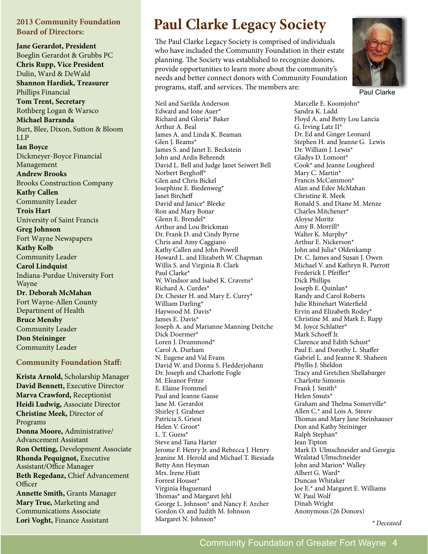#### **2013 Community Foundation Board of Directors:**

**Jane Gerardot, President** Boeglin Gerardot & Grubbs PC **Chris Rupp, Vice President** Dulin, Ward & DeWald **Shannon Hardiek, Treasurer** Phillips Financial **Tom Trent, Secretary** Rothberg Logan & Warsco **Michael Barranda** Burt, Blee, Dixon, Sutton & Bloom LLP **Ian Boyce** Dickmeyer-Boyce Financial Management **Andrew Brooks** Brooks Construction Company **Kathy Callen** Community Leader **Trois Hart** University of Saint Francis **Greg Johnson** Fort Wayne Newspapers **Kathy Kolb** Community Leader **Carol Lindquist** Indiana-Purdue University Fort Wayne **Dr. Deborah McMahan** Fort Wayne-Allen County Department of Health **Bruce Menshy** Community Leader

**Don Steininger** Community Leader

#### **Community Foundation Staff:**

**Krista Arnold,** Scholarship Manager **David Bennett,** Executive Director **Marva Crawford,** Receptionist **Heidi Ludwig,** Associate Director **Christine Meek,** Director of Programs **Donna Moore,** Administrative/ Advancement Assistant **Ron Oetting,** Development Associate **Rhonda Pequignot,** Executive Assistant/Office Manager **Beth Regedanz,** Chief Advancement **Officer Annette Smith,** Grants Manager **Mary True,** Marketing and

Communications Associate **Lori Voght,** Finance Assistant *Margaret N. Johnson<sup>\*</sup> <i>\* Deceased \* Deceased* 

### **Paul Clarke Legacy Society**

The Paul Clarke Legacy Society is comprised of individuals who have included the Community Foundation in their estate planning. The Society was established to recognize donors, provide opportunities to learn more about the community's needs and better connect donors with Community Foundation programs, staff, and services. The members are:



Paul Clarke

Neil and Sarilda Anderson Edward and Ione Auer\* Richard and Gloria\* Baker Arthur A. Beal James A. and Linda K. Beaman Glen J. Beams\* James S. and Janet E. Beckstein John and Ardis Behrendt David L. Bell and Judge Janet Seiwert Bell Norbert Berghoff\* Glen and Chris Bickel Josephine E. Biedenweg\* Janet Bircheff David and Janice\* Bleeke Ron and Mary Bonar Glenn E. Brendel\* Arthur and Lou Brickman Dr. Frank D. and Cindy Byrne Chris and Amy Caggiano Kathy Callen and John Powell Howard L. and Elizabeth W. Chapman Willis S. and Virginia B. Clark Paul Clarke\* W. Windsor and Isabel K. Cravens\* Richard A. Curdes\* Dr. Chester H. and Mary E. Curry\* William Darling\* Haywood M. Davis\* James E. Davis\* Joseph A. and Marianne Manning Deitche Dick Doermer\* Loren J. Drummond\* Carol A. Durham N. Eugene and Val Evans David W. and Donna S. Fledderjohann Dr. Joseph and Charlotte Fogle M. Eleanor Fritze E. Elaine Frommel Paul and Jeanne Gause Jane M. Gerardot Shirley J. Grabner Patricia S. Griest Helen V. Groot\* L. T. Guess\* Steve and Tana Harter Jerome F. Henry Jr. and Rebecca J. Henry Jeanine M. Herold and Michael T. Biesiada Betty Ann Heyman Mrs. Irene Hiatt Forrest Houser\* Virginia Huguenard Thomas\* and Margaret Jehl George L. Johnson\* and Nancy F. Archer Gordon O. and Judith M. Johnson Margaret N. Johnson\*

Marcelle E. Koomjohn\* Sandra K. Ladd Floyd A. and Betty Lou Lancia G. Irving Latz II\* Dr. Ed and Ginger Leonard Stephen H. and Jeanne G. Lewis Dr. William J. Lewis\* Gladys D. Lomont\* Cook\* and Jeanne Lougheed Mary C. Martin\* Francis McCammon\* Alan and Edee McMahan Christine R. Meek Ronald S. and Diane M. Menze Charles Mitchener\* Aloyse Moritz Amy B. Morrill\* Walter K. Murphy\* Arthur E. Nickerson\* John and Julia\* Oldenkamp Dr. C. James and Susan J. Owen Michael V. and Kathryn R. Parrott Frederick J. Pfeiffer\* Dick Phillips Joseph E. Quinlan\* Randy and Carol Roberts Julie Rhinehart Waterfield Ervin and Elizabeth Rodey\* Christine M. and Mark E. Rupp M. Joyce Schlatter\* Mark Schoeff Jr. Clarence and Edith Schust\* Paul E. and Dorothy L. Shaffer Gabriel L. and Jeanne R. Shaheen Phyllis J. Sheldon Tracy and Gretchen Shellabarger Charlotte Simonis Frank I. Smith\* Helen Smuts\* Graham and Thelma Somerville\* Allen C.\* and Lois A. Steere Thomas and Mary Jane Steinhauser Don and Kathy Steininger Ralph Stephan\* Jean Tipton Mark D. Ulmschneider and Georgia Wralstad Ulmschneider John and Marion\* Walley Albert G. Ward\* Duncan Whitaker Joe E.\* and Margaret E. Williams W. Paul Wolf Dinah Wright Anonymous (26 Donors)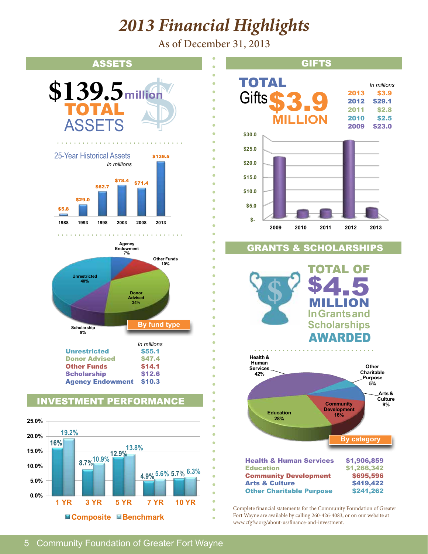# *2013 Financial Highlights*

As of December 31, 2013